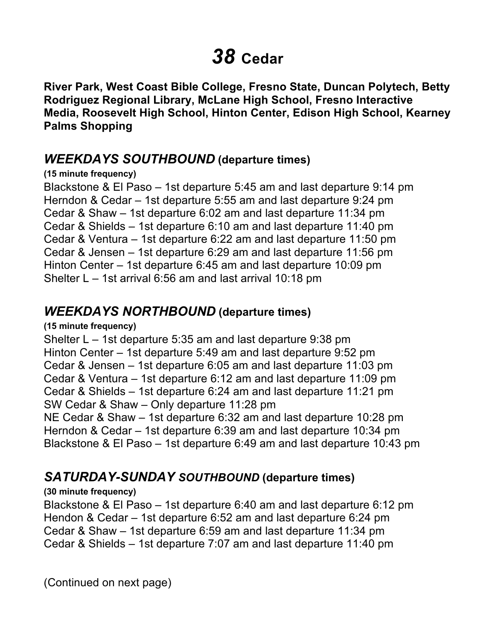# *38* **Cedar**

 **River Park, West Coast Bible College, Fresno State, Duncan Polytech, Betty Rodriguez Regional Library, McLane High School, Fresno Interactive Media, Roosevelt High School, Hinton Center, Edison High School, Kearney Palms Shopping** 

## *WEEKDAYS SOUTHBOUND* **(departure times)**

#### **(15 minute frequency)**

 Blackstone & El Paso – 1st departure 5:45 am and last departure 9:14 pm Herndon & Cedar – 1st departure 5:55 am and last departure 9:24 pm Cedar & Shaw – 1st departure 6:02 am and last departure 11:34 pm Cedar & Shields – 1st departure 6:10 am and last departure 11:40 pm Cedar & Ventura – 1st departure 6:22 am and last departure 11:50 pm Cedar & Jensen – 1st departure 6:29 am and last departure 11:56 pm Hinton Center – 1st departure 6:45 am and last departure 10:09 pm Shelter L – 1st arrival 6:56 am and last arrival 10:18 pm

## *WEEKDAYS NORTHBOUND* **(departure times)**

#### **(15 minute frequency)**

 Shelter L – 1st departure 5:35 am and last departure 9:38 pm Hinton Center – 1st departure 5:49 am and last departure 9:52 pm Cedar & Jensen – 1st departure 6:05 am and last departure 11:03 pm Cedar & Ventura – 1st departure 6:12 am and last departure 11:09 pm Cedar & Shields – 1st departure 6:24 am and last departure 11:21 pm SW Cedar & Shaw – Only departure 11:28 pm NE Cedar & Shaw – 1st departure 6:32 am and last departure 10:28 pm

 Herndon & Cedar – 1st departure 6:39 am and last departure 10:34 pm Blackstone & El Paso – 1st departure 6:49 am and last departure 10:43 pm

## *SATURDAY-SUNDAY SOUTHBOUND* **(departure times)**

#### **(30 minute frequency)**

 Blackstone & El Paso – 1st departure 6:40 am and last departure 6:12 pm Hendon & Cedar – 1st departure 6:52 am and last departure 6:24 pm Cedar & Shaw – 1st departure 6:59 am and last departure 11:34 pm Cedar & Shields – 1st departure 7:07 am and last departure 11:40 pm

(Continued on next page)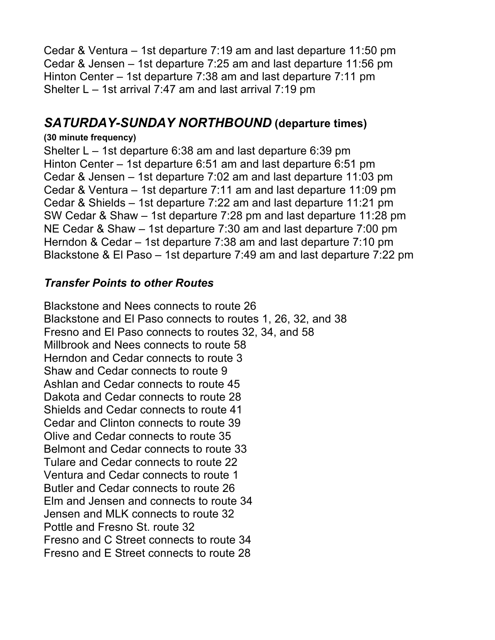Cedar & Ventura – 1st departure 7:19 am and last departure 11:50 pm Cedar & Jensen – 1st departure 7:25 am and last departure 11:56 pm Hinton Center – 1st departure 7:38 am and last departure 7:11 pm Shelter L – 1st arrival 7:47 am and last arrival 7:19 pm

## *SATURDAY-SUNDAY NORTHBOUND* **(departure times)**

#### **(30 minute frequency)**

 Shelter L – 1st departure 6:38 am and last departure 6:39 pm Hinton Center – 1st departure 6:51 am and last departure 6:51 pm Cedar & Jensen – 1st departure 7:02 am and last departure 11:03 pm Cedar & Ventura – 1st departure 7:11 am and last departure 11:09 pm Cedar & Shields – 1st departure 7:22 am and last departure 11:21 pm SW Cedar & Shaw – 1st departure 7:28 pm and last departure 11:28 pm NE Cedar & Shaw – 1st departure 7:30 am and last departure 7:00 pm Herndon & Cedar – 1st departure 7:38 am and last departure 7:10 pm Blackstone & El Paso – 1st departure 7:49 am and last departure 7:22 pm

### *Transfer Points to other Routes*

 Blackstone and El Paso connects to routes 1, 26, 32, and 38 Fresno and El Paso connects to routes 32, 34, and 58 Millbrook and Nees connects to route 58 Herndon and Cedar connects to route 3 Shaw and Cedar connects to route 9 Ashlan and Cedar connects to route 45 Dakota and Cedar connects to route 28 Shields and Cedar connects to route 41 Cedar and Clinton connects to route 39 Olive and Cedar connects to route 35 Ventura and Cedar connects to route 1 Butler and Cedar connects to route 26 Elm and Jensen and connects to route 34 Pottle and Fresno St. route 32 Fresno and C Street connects to route 34 Fresno and E Street connects to route 28 Blackstone and Nees connects to route 26 Belmont and Cedar connects to route 33 Tulare and Cedar connects to route 22 Jensen and MLK connects to route 32